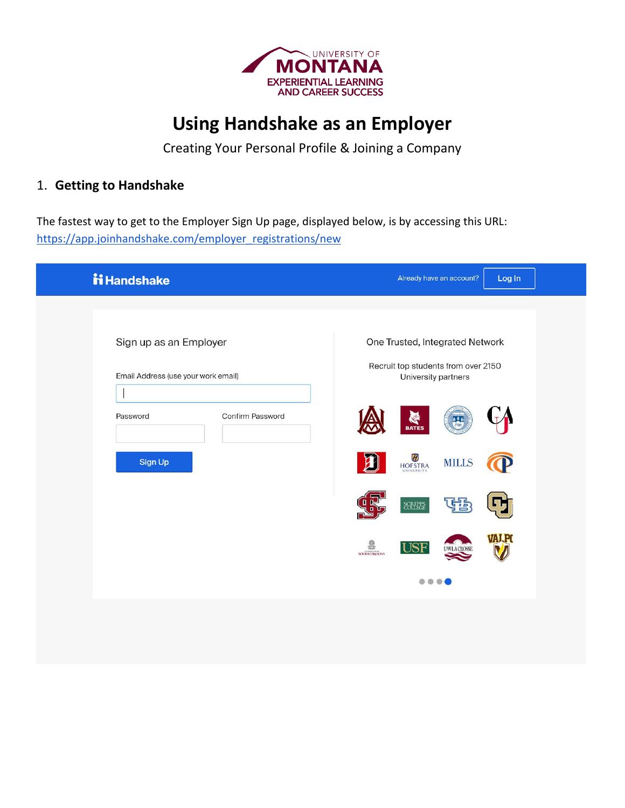

# **Using Handshake as an Employer**

Creating Your Personal Profile & Joining a Company

### 1. **Getting to Handshake**

The fastest way to get to the Employer Sign Up page, displayed below, is by accessing this URL: [https://app.joinhandshake.com/employer\\_registrations/new](https://app.joinhandshake.com/employer_registrations/new)

| ii Handshake                        | Already have an account?<br>Log In                             |
|-------------------------------------|----------------------------------------------------------------|
|                                     |                                                                |
| Sign up as an Employer              | One Trusted, Integrated Network                                |
| Email Address (use your work email) | Recruit top students from over 2150<br>University partners     |
| Confirm Password<br>Password        | $\frac{1}{\sqrt{2}}$                                           |
| Sign Up                             | HOFSTRA<br><b>MILLS</b>                                        |
|                                     | 雪<br>ББ,<br>SCRIPPS                                            |
|                                     | ł<br><b>USF</b><br><b>W.LA CROSSE</b><br><b>SOUTH CAROLINA</b> |
|                                     |                                                                |
|                                     |                                                                |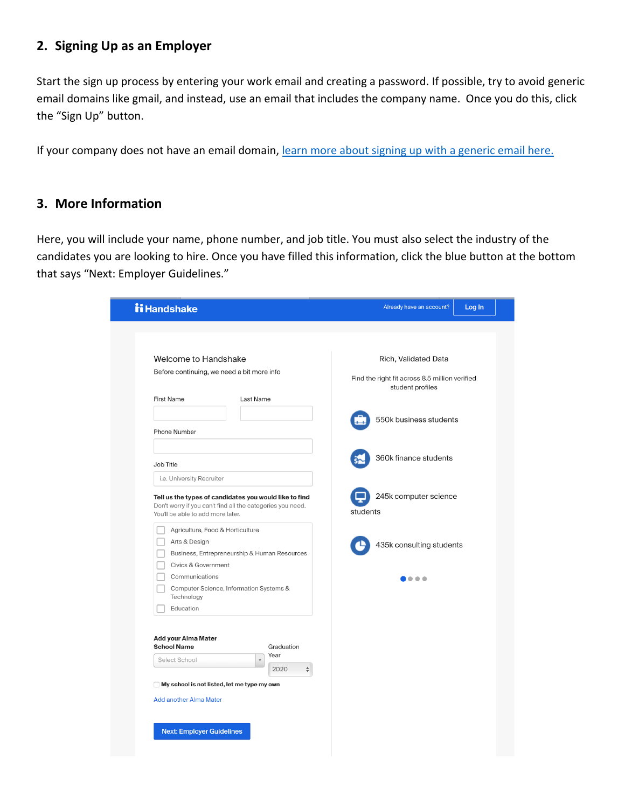## **2. Signing Up as an Employer**

Start the sign up process by entering your work email and creating a password. If possible, try to avoid generic email domains like gmail, and instead, use an email that includes the company name. Once you do this, click the "Sign Up" button.

If your company does not have an email domain, [learn more about signing up with a generic email here.](https://support.joinhandshake.com/hc/en-us/articles/360019584994-Registering-for-an-Employer-Account-with-a-Generic-Email-Address-)

#### **3. More Information**

Here, you will include your name, phone number, and job title. You must also select the industry of the candidates you are looking to hire. Once you have filled this information, click the blue button at the bottom that says "Next: Employer Guidelines."

| Welcome to Handshake<br>Rich, Validated Data<br>Before continuing, we need a bit more info<br>Find the right fit across 8.5 million verified<br>student profiles<br><b>First Name</b><br>Last Name<br>550k business students<br>Phone Number<br>360k finance students<br>Job Title<br>i.e. University Recruiter<br>245k computer science<br>Tell us the types of candidates you would like to find<br>Don't worry if you can't find all the categories you need.<br>students<br>You'll be able to add more later.<br>Agriculture, Food & Horticulture<br>Arts & Design<br>435k consulting students<br>Business, Entrepreneurship & Human Resources<br>Civics & Government<br>Communications<br>$\bullet$ $\bullet$<br>Computer Science, Information Systems &<br>Technology<br>Education<br>Add your Alma Mater<br><b>School Name</b><br>Graduation<br>Year<br>Select School<br>$\mathbf v$<br>2020<br>$\div$<br>My school is not listed, let me type my own<br><b>Add another Alma Mater</b> | <b>ii Handshake</b> | Already have an account?<br>Log In |
|-----------------------------------------------------------------------------------------------------------------------------------------------------------------------------------------------------------------------------------------------------------------------------------------------------------------------------------------------------------------------------------------------------------------------------------------------------------------------------------------------------------------------------------------------------------------------------------------------------------------------------------------------------------------------------------------------------------------------------------------------------------------------------------------------------------------------------------------------------------------------------------------------------------------------------------------------------------------------------------------------|---------------------|------------------------------------|
|                                                                                                                                                                                                                                                                                                                                                                                                                                                                                                                                                                                                                                                                                                                                                                                                                                                                                                                                                                                               |                     |                                    |
|                                                                                                                                                                                                                                                                                                                                                                                                                                                                                                                                                                                                                                                                                                                                                                                                                                                                                                                                                                                               |                     |                                    |
|                                                                                                                                                                                                                                                                                                                                                                                                                                                                                                                                                                                                                                                                                                                                                                                                                                                                                                                                                                                               |                     |                                    |
|                                                                                                                                                                                                                                                                                                                                                                                                                                                                                                                                                                                                                                                                                                                                                                                                                                                                                                                                                                                               |                     |                                    |
|                                                                                                                                                                                                                                                                                                                                                                                                                                                                                                                                                                                                                                                                                                                                                                                                                                                                                                                                                                                               |                     |                                    |
|                                                                                                                                                                                                                                                                                                                                                                                                                                                                                                                                                                                                                                                                                                                                                                                                                                                                                                                                                                                               |                     |                                    |
|                                                                                                                                                                                                                                                                                                                                                                                                                                                                                                                                                                                                                                                                                                                                                                                                                                                                                                                                                                                               |                     |                                    |
|                                                                                                                                                                                                                                                                                                                                                                                                                                                                                                                                                                                                                                                                                                                                                                                                                                                                                                                                                                                               |                     |                                    |
|                                                                                                                                                                                                                                                                                                                                                                                                                                                                                                                                                                                                                                                                                                                                                                                                                                                                                                                                                                                               |                     |                                    |
|                                                                                                                                                                                                                                                                                                                                                                                                                                                                                                                                                                                                                                                                                                                                                                                                                                                                                                                                                                                               |                     |                                    |
|                                                                                                                                                                                                                                                                                                                                                                                                                                                                                                                                                                                                                                                                                                                                                                                                                                                                                                                                                                                               |                     |                                    |
|                                                                                                                                                                                                                                                                                                                                                                                                                                                                                                                                                                                                                                                                                                                                                                                                                                                                                                                                                                                               |                     |                                    |
|                                                                                                                                                                                                                                                                                                                                                                                                                                                                                                                                                                                                                                                                                                                                                                                                                                                                                                                                                                                               |                     |                                    |
|                                                                                                                                                                                                                                                                                                                                                                                                                                                                                                                                                                                                                                                                                                                                                                                                                                                                                                                                                                                               |                     |                                    |
|                                                                                                                                                                                                                                                                                                                                                                                                                                                                                                                                                                                                                                                                                                                                                                                                                                                                                                                                                                                               |                     |                                    |
|                                                                                                                                                                                                                                                                                                                                                                                                                                                                                                                                                                                                                                                                                                                                                                                                                                                                                                                                                                                               |                     |                                    |
|                                                                                                                                                                                                                                                                                                                                                                                                                                                                                                                                                                                                                                                                                                                                                                                                                                                                                                                                                                                               |                     |                                    |
|                                                                                                                                                                                                                                                                                                                                                                                                                                                                                                                                                                                                                                                                                                                                                                                                                                                                                                                                                                                               |                     |                                    |
|                                                                                                                                                                                                                                                                                                                                                                                                                                                                                                                                                                                                                                                                                                                                                                                                                                                                                                                                                                                               |                     |                                    |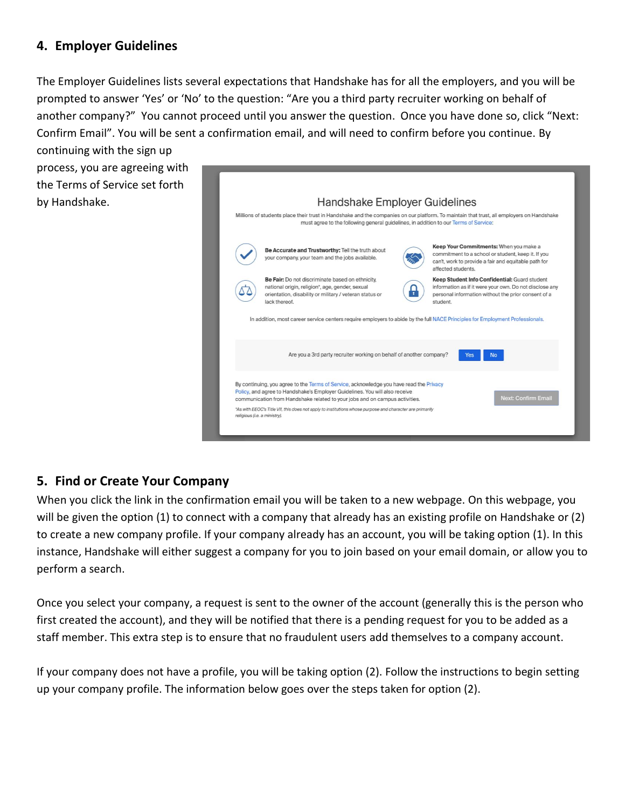### **4. Employer Guidelines**

The Employer Guidelines lists several expectations that Handshake has for all the employers, and you will be prompted to answer 'Yes' or 'No' to the question: "Are you a third party recruiter working on behalf of another company?" You cannot proceed until you answer the question. Once you have done so, click "Next: Confirm Email". You will be sent a confirmation email, and will need to confirm before you continue. By

continuing with the sign up process, you are agreeing with the Terms of Service set forth by Handshake.



### **5. Find or Create Your Company**

When you click the link in the confirmation email you will be taken to a new webpage. On this webpage, you will be given the option (1) to connect with a company that already has an existing profile on Handshake or (2) to create a new company profile. If your company already has an account, you will be taking option (1). In this instance, Handshake will either suggest a company for you to join based on your email domain, or allow you to perform a search.

Once you select your company, a request is sent to the owner of the account (generally this is the person who first created the account), and they will be notified that there is a pending request for you to be added as a staff member. This extra step is to ensure that no fraudulent users add themselves to a company account.

If your company does not have a profile, you will be taking option (2). Follow the instructions to begin setting up your company profile. The information below goes over the steps taken for option (2).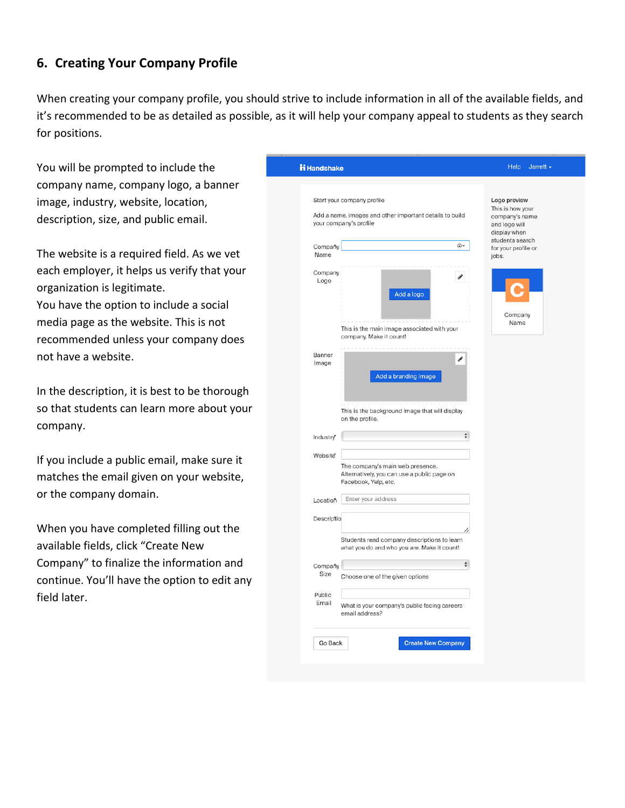### **6. Creating Your Company Profile**

When creating your company profile, you should strive to include information in all of the available fields, and it's recommended to be as detailed as possible, as it will help your company appeal to students as they search for positions.

You will be prompted to include the company name, company logo, a banner image, industry, website, location, description, size, and public email.

The website is a required field. As we vet each employer, it helps us verify that your organization is legitimate. You have the option to include a social media page as the website. This is not recommended unless your company does not have a website.

In the description, it is best to be thorough so that students can learn more about your company.

If you include a public email, make sure it matches the email given on your website, or the company domain.

When you have completed filling out the available fields, click "Create New Company" to finalize the information and continue. You'll have the option to edit any field later.

| <b>ii</b> Handshake   |                                                                                                                                   | <b>Help</b><br>Jarrett -                                                                               |
|-----------------------|-----------------------------------------------------------------------------------------------------------------------------------|--------------------------------------------------------------------------------------------------------|
|                       | Start your company profile<br>Add a name, images and other important details to build<br>your company's profile<br>$\circledcirc$ | Logo preview<br>This is how your<br>company's name<br>and logo will<br>display when<br>students search |
| Compañy<br>Name       |                                                                                                                                   | for your profile or<br>jobs.                                                                           |
| Company<br>Logo       | P<br>Add a logo                                                                                                                   | Company<br>Name                                                                                        |
|                       | This is the main image associated with your<br>company. Make it count!                                                            |                                                                                                        |
| Banner<br>Image       | v<br>Add a branding image                                                                                                         |                                                                                                        |
| Industrv <sup>*</sup> | This is the background image that will display<br>on the profile.<br>$\div$                                                       |                                                                                                        |
| Website*              |                                                                                                                                   |                                                                                                        |
|                       | The company's main web presence.<br>Alternatively, you can use a public page on<br>Facebook, Yelp, etc.                           |                                                                                                        |
| Locatioň              | Enter your address                                                                                                                |                                                                                                        |
| Descriptio            |                                                                                                                                   |                                                                                                        |
|                       | Students read company descriptions to learn<br>what you do and who you are. Make it count!                                        |                                                                                                        |
| Compañy<br>Size       | $\frac{4}{7}$<br>Choose one of the given options                                                                                  |                                                                                                        |
| Public<br>Email       | What is your company's public facing careers<br>email address?                                                                    |                                                                                                        |
|                       |                                                                                                                                   |                                                                                                        |